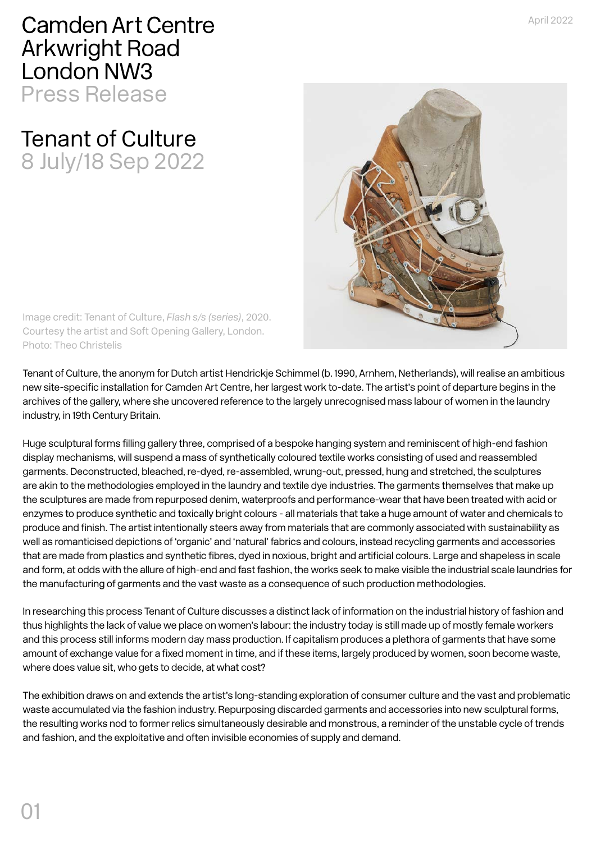**Camden Art Centre Arkwright Road** London NW3 Press Release

## Tenant of Culture 8 July/18 Sep 2022



Image credit: Tenant of Culture, *Flash s/s (series)*, 2020. Courtesy the artist and Soft Opening Gallery, London. Photo: Theo Christelis

Tenant of Culture, the anonym for Dutch artist Hendrickje Schimmel (b. 1990, Arnhem, Netherlands), will realise an ambitious new site-specific installation for Camden Art Centre, her largest work to-date. The artist's point of departure begins in the archives of the gallery, where she uncovered reference to the largely unrecognised mass labour of women in the laundry industry, in 19th Century Britain.

Huge sculptural forms filling gallery three, comprised of a bespoke hanging system and reminiscent of high-end fashion display mechanisms, will suspend a mass of synthetically coloured textile works consisting of used and reassembled garments. Deconstructed, bleached, re-dyed, re-assembled, wrung-out, pressed, hung and stretched, the sculptures are akin to the methodologies employed in the laundry and textile dye industries. The garments themselves that make up the sculptures are made from repurposed denim, waterproofs and performance-wear that have been treated with acid or enzymes to produce synthetic and toxically bright colours - all materials that take a huge amount of water and chemicals to produce and finish. The artist intentionally steers away from materials that are commonly associated with sustainability as well as romanticised depictions of 'organic' and 'natural' fabrics and colours, instead recycling garments and accessories that are made from plastics and synthetic fibres, dyed in noxious, bright and artificial colours. Large and shapeless in scale and form, at odds with the allure of high-end and fast fashion, the works seek to make visible the industrial scale laundries for the manufacturing of garments and the vast waste as a consequence of such production methodologies.

In researching this process Tenant of Culture discusses a distinct lack of information on the industrial history of fashion and thus highlights the lack of value we place on women's labour: the industry today is still made up of mostly female workers and this process still informs modern day mass production. If capitalism produces a plethora of garments that have some amount of exchange value for a fixed moment in time, and if these items, largely produced by women, soon become waste, where does value sit, who gets to decide, at what cost?

The exhibition draws on and extends the artist's long-standing exploration of consumer culture and the vast and problematic waste accumulated via the fashion industry. Repurposing discarded garments and accessories into new sculptural forms, the resulting works nod to former relics simultaneously desirable and monstrous, a reminder of the unstable cycle of trends and fashion, and the exploitative and often invisible economies of supply and demand.